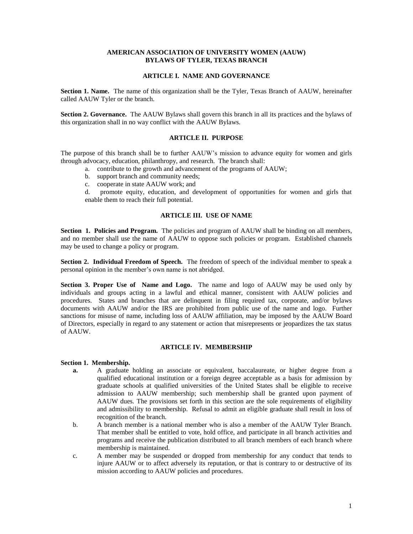## **AMERICAN ASSOCIATION OF UNIVERSITY WOMEN (AAUW) BYLAWS OF TYLER, TEXAS BRANCH**

### **ARTICLE I. NAME AND GOVERNANCE**

**Section 1. Name.** The name of this organization shall be the Tyler, Texas Branch of AAUW, hereinafter called AAUW Tyler or the branch.

**Section 2. Governance.** The AAUW Bylaws shall govern this branch in all its practices and the bylaws of this organization shall in no way conflict with the AAUW Bylaws.

## **ARTICLE II. PURPOSE**

The purpose of this branch shall be to further AAUW's mission to advance equity for women and girls through advocacy, education, philanthropy, and research. The branch shall:

- a. contribute to the growth and advancement of the programs of AAUW;
- b. support branch and community needs;
- c. cooperate in state AAUW work; and

d. promote equity, education, and development of opportunities for women and girls that enable them to reach their full potential.

## **ARTICLE III. USE OF NAME**

**Section 1. Policies and Program.** The policies and program of AAUW shall be binding on all members, and no member shall use the name of AAUW to oppose such policies or program. Established channels may be used to change a policy or program.

**Section 2. Individual Freedom of Speech.** The freedom of speech of the individual member to speak a personal opinion in the member's own name is not abridged.

**Section 3. Proper Use of Name and Logo.** The name and logo of AAUW may be used only by individuals and groups acting in a lawful and ethical manner, consistent with AAUW policies and procedures. States and branches that are delinquent in filing required tax, corporate, and/or bylaws documents with AAUW and/or the IRS are prohibited from public use of the name and logo. Further sanctions for misuse of name, including loss of AAUW affiliation, may be imposed by the AAUW Board of Directors, especially in regard to any statement or action that misrepresents or jeopardizes the tax status of AAUW.

#### **ARTICLE IV. MEMBERSHIP**

#### **Section 1. Membership.**

- **a.** A graduate holding an associate or equivalent, baccalaureate, or higher degree from a qualified educational institution or a foreign degree acceptable as a basis for admission by graduate schools at qualified universities of the United States shall be eligible to receive admission to AAUW membership; such membership shall be granted upon payment of AAUW dues. The provisions set forth in this section are the sole requirements of eligibility and admissibility to membership. Refusal to admit an eligible graduate shall result in loss of recognition of the branch.
- b. A branch member is a national member who is also a member of the AAUW Tyler Branch. That member shall be entitled to vote, hold office, and participate in all branch activities and programs and receive the publication distributed to all branch members of each branch where membership is maintained.
- c. A member may be suspended or dropped from membership for any conduct that tends to injure AAUW or to affect adversely its reputation, or that is contrary to or destructive of its mission according to AAUW policies and procedures.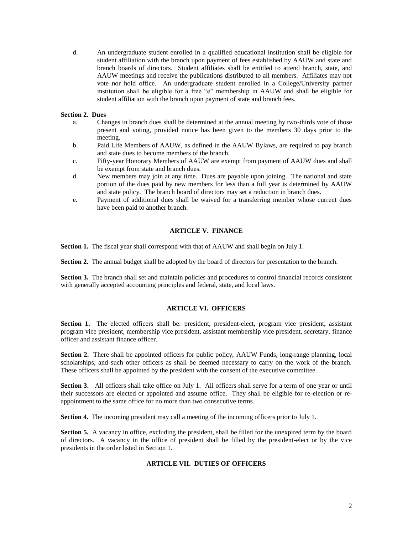d. An undergraduate student enrolled in a qualified educational institution shall be eligible for student affiliation with the branch upon payment of fees established by AAUW and state and branch boards of directors. Student affiliates shall be entitled to attend branch, state, and AAUW meetings and receive the publications distributed to all members. Affiliates may not vote nor hold office. An undergraduate student enrolled in a College/University partner institution shall be eligible for a free "e" membership in AAUW and shall be eligible for student affiliation with the branch upon payment of state and branch fees.

#### **Section 2. Dues**

- a. Changes in branch dues shall be determined at the annual meeting by two-thirds vote of those present and voting, provided notice has been given to the members 30 days prior to the meeting.
- b. Paid Life Members of AAUW, as defined in the AAUW Bylaws, are required to pay branch and state dues to become members of the branch.
- c. Fifty-year Honorary Members of AAUW are exempt from payment of AAUW dues and shall be exempt from state and branch dues.
- d. New members may join at any time. Dues are payable upon joining. The national and state portion of the dues paid by new members for less than a full year is determined by AAUW and state policy. The branch board of directors may set a reduction in branch dues.
- e. Payment of additional dues shall be waived for a transferring member whose current dues have been paid to another branch.

# **ARTICLE V. FINANCE**

**Section 1.** The fiscal year shall correspond with that of AAUW and shall begin on July 1.

**Section 2.** The annual budget shall be adopted by the board of directors for presentation to the branch.

**Section 3.** The branch shall set and maintain policies and procedures to control financial records consistent with generally accepted accounting principles and federal, state, and local laws.

### **ARTICLE VI. OFFICERS**

Section 1. The elected officers shall be: president, president-elect, program vice president, assistant program vice president, membership vice president, assistant membership vice president, secretary, finance officer and assistant finance officer.

**Section 2.** There shall be appointed officers for public policy, AAUW Funds, long-range planning, local scholarships, and such other officers as shall be deemed necessary to carry on the work of the branch. These officers shall be appointed by the president with the consent of the executive committee.

**Section 3.** All officers shall take office on July 1. All officers shall serve for a term of one year or until their successors are elected or appointed and assume office. They shall be eligible for re-election or reappointment to the same office for no more than two consecutive terms.

**Section 4.** The incoming president may call a meeting of the incoming officers prior to July 1.

**Section 5.** A vacancy in office, excluding the president, shall be filled for the unexpired term by the board of directors. A vacancy in the office of president shall be filled by the president-elect or by the vice presidents in the order listed in Section 1.

# **ARTICLE VII. DUTIES OF OFFICERS**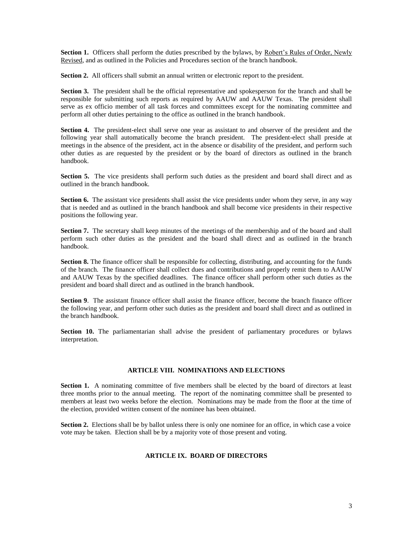Section 1. Officers shall perform the duties prescribed by the bylaws, by Robert's Rules of Order, Newly Revised, and as outlined in the Policies and Procedures section of the branch handbook.

**Section 2.** All officers shall submit an annual written or electronic report to the president.

**Section 3.** The president shall be the official representative and spokesperson for the branch and shall be responsible for submitting such reports as required by AAUW and AAUW Texas. The president shall serve as ex officio member of all task forces and committees except for the nominating committee and perform all other duties pertaining to the office as outlined in the branch handbook.

**Section 4.** The president-elect shall serve one year as assistant to and observer of the president and the following year shall automatically become the branch president. The president-elect shall preside at meetings in the absence of the president, act in the absence or disability of the president, and perform such other duties as are requested by the president or by the board of directors as outlined in the branch handbook.

**Section 5.** The vice presidents shall perform such duties as the president and board shall direct and as outlined in the branch handbook.

**Section 6.** The assistant vice presidents shall assist the vice presidents under whom they serve, in any way that is needed and as outlined in the branch handbook and shall become vice presidents in their respective positions the following year.

**Section 7.** The secretary shall keep minutes of the meetings of the membership and of the board and shall perform such other duties as the president and the board shall direct and as outlined in the branch handbook.

**Section 8.** The finance officer shall be responsible for collecting, distributing, and accounting for the funds of the branch. The finance officer shall collect dues and contributions and properly remit them to AAUW and AAUW Texas by the specified deadlines. The finance officer shall perform other such duties as the president and board shall direct and as outlined in the branch handbook.

**Section 9**. The assistant finance officer shall assist the finance officer, become the branch finance officer the following year, and perform other such duties as the president and board shall direct and as outlined in the branch handbook.

**Section 10.** The parliamentarian shall advise the president of parliamentary procedures or bylaws interpretation.

#### **ARTICLE VIII. NOMINATIONS AND ELECTIONS**

**Section 1.** A nominating committee of five members shall be elected by the board of directors at least three months prior to the annual meeting. The report of the nominating committee shall be presented to members at least two weeks before the election. Nominations may be made from the floor at the time of the election, provided written consent of the nominee has been obtained.

**Section 2.** Elections shall be by ballot unless there is only one nominee for an office, in which case a voice vote may be taken. Election shall be by a majority vote of those present and voting.

## **ARTICLE IX. BOARD OF DIRECTORS**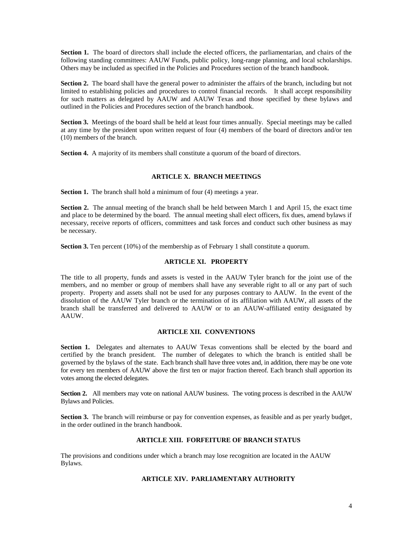**Section 1.** The board of directors shall include the elected officers, the parliamentarian, and chairs of the following standing committees: AAUW Funds, public policy, long-range planning, and local scholarships. Others may be included as specified in the Policies and Procedures section of the branch handbook.

**Section 2.** The board shall have the general power to administer the affairs of the branch, including but not limited to establishing policies and procedures to control financial records. It shall accept responsibility for such matters as delegated by AAUW and AAUW Texas and those specified by these bylaws and outlined in the Policies and Procedures section of the branch handbook.

**Section 3.** Meetings of the board shall be held at least four times annually. Special meetings may be called at any time by the president upon written request of four (4) members of the board of directors and/or ten (10) members of the branch.

**Section 4.** A majority of its members shall constitute a quorum of the board of directors.

### **ARTICLE X. BRANCH MEETINGS**

**Section 1.** The branch shall hold a minimum of four (4) meetings a year.

**Section 2.** The annual meeting of the branch shall be held between March 1 and April 15, the exact time and place to be determined by the board. The annual meeting shall elect officers, fix dues, amend bylaws if necessary, receive reports of officers, committees and task forces and conduct such other business as may be necessary.

**Section 3.** Ten percent (10%) of the membership as of February 1 shall constitute a quorum.

## **ARTICLE XI. PROPERTY**

The title to all property, funds and assets is vested in the AAUW Tyler branch for the joint use of the members, and no member or group of members shall have any severable right to all or any part of such property. Property and assets shall not be used for any purposes contrary to AAUW. In the event of the dissolution of the AAUW Tyler branch or the termination of its affiliation with AAUW, all assets of the branch shall be transferred and delivered to AAUW or to an AAUW-affiliated entity designated by AAUW.

#### **ARTICLE XII. CONVENTIONS**

**Section 1.** Delegates and alternates to AAUW Texas conventions shall be elected by the board and certified by the branch president. The number of delegates to which the branch is entitled shall be governed by the bylaws of the state. Each branch shall have three votes and, in addition, there may be one vote for every ten members of AAUW above the first ten or major fraction thereof. Each branch shall apportion its votes among the elected delegates.

**Section 2.** All members may vote on national AAUW business. The voting process is described in the AAUW Bylaws and Policies.

**Section 3.** The branch will reimburse or pay for convention expenses, as feasible and as per yearly budget, in the order outlined in the branch handbook.

## **ARTICLE XIII. FORFEITURE OF BRANCH STATUS**

The provisions and conditions under which a branch may lose recognition are located in the AAUW Bylaws.

#### **ARTICLE XIV. PARLIAMENTARY AUTHORITY**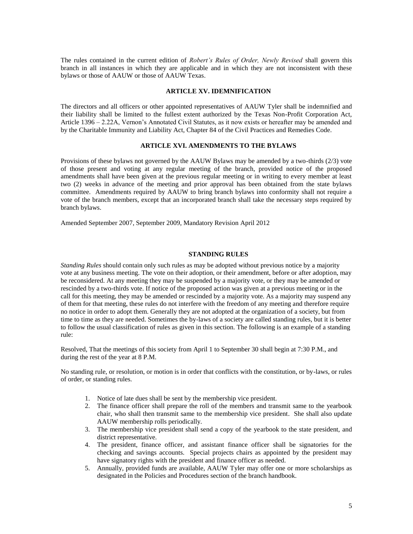The rules contained in the current edition of *Robert's Rules of Order, Newly Revised* shall govern this branch in all instances in which they are applicable and in which they are not inconsistent with these bylaws or those of AAUW or those of AAUW Texas.

#### **ARTICLE XV. IDEMNIFICATION**

The directors and all officers or other appointed representatives of AAUW Tyler shall be indemnified and their liability shall be limited to the fullest extent authorized by the Texas Non-Profit Corporation Act, Article 1396 – 2.22A, Vernon's Annotated Civil Statutes, as it now exists or hereafter may be amended and by the Charitable Immunity and Liability Act, Chapter 84 of the Civil Practices and Remedies Code.

## **ARTICLE XVI. AMENDMENTS TO THE BYLAWS**

Provisions of these bylaws not governed by the AAUW Bylaws may be amended by a two-thirds (2/3) vote of those present and voting at any regular meeting of the branch, provided notice of the proposed amendments shall have been given at the previous regular meeting or in writing to every member at least two (2) weeks in advance of the meeting and prior approval has been obtained from the state bylaws committee. Amendments required by AAUW to bring branch bylaws into conformity shall not require a vote of the branch members, except that an incorporated branch shall take the necessary steps required by branch bylaws.

Amended September 2007, September 2009, Mandatory Revision April 2012

#### **STANDING RULES**

*Standing Rules* should contain only such rules as may be adopted without previous notice by a majority vote at any business meeting. The vote on their adoption, or their amendment, before or after adoption, may be reconsidered. At any meeting they may be suspended by a majority vote, or they may be amended or rescinded by a two-thirds vote. If notice of the proposed action was given at a previous meeting or in the call for this meeting, they may be amended or rescinded by a majority vote. As a majority may suspend any of them for that meeting, these rules do not interfere with the freedom of any meeting and therefore require no notice in order to adopt them. Generally they are not adopted at the organization of a society, but from time to time as they are needed. Sometimes the by-laws of a society are called standing rules, but it is better to follow the usual classification of rules as given in this section. The following is an example of a standing rule:

Resolved, That the meetings of this society from April 1 to September 30 shall begin at 7:30 P.M., and during the rest of the year at 8 P.M.

No standing rule, or resolution, or motion is in order that conflicts with the constitution, or by-laws, or rules of order, or standing rules.

- 1. Notice of late dues shall be sent by the membership vice president.
- 2. The finance officer shall prepare the roll of the members and transmit same to the yearbook chair, who shall then transmit same to the membership vice president. She shall also update AAUW membership rolls periodically.
- 3. The membership vice president shall send a copy of the yearbook to the state president, and district representative.
- 4. The president, finance officer, and assistant finance officer shall be signatories for the checking and savings accounts. Special projects chairs as appointed by the president may have signatory rights with the president and finance officer as needed.
- 5. Annually, provided funds are available, AAUW Tyler may offer one or more scholarships as designated in the Policies and Procedures section of the branch handbook.